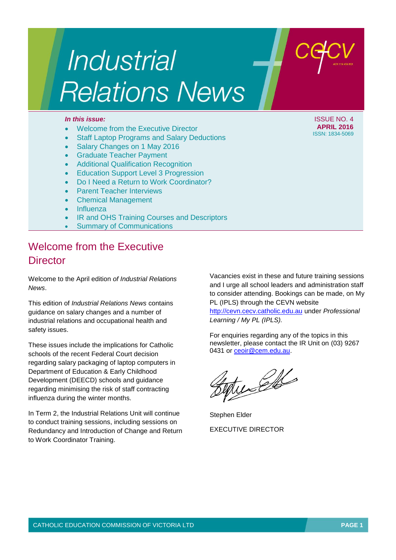# Industrial **Relations News**

- Welcome from the Executive Director
- Staff Laptop Programs and Salary Deductions
- Salary Changes on 1 May 2016
- Graduate Teacher Payment
- Additional Qualification Recognition
- Education Support Level 3 Progression
- Do I Need a Return to Work Coordinator?
- Parent Teacher Interviews
- Chemical Management
- Influenza
- IR and OHS Training Courses and Descriptors
- Summary of Communications

## Welcome from the Executive **Director**

Welcome to the April edition *of Industrial Relations News*.

This edition of *Industrial Relations News* contains guidance on salary changes and a number of industrial relations and occupational health and safety issues.

These issues include the implications for Catholic schools of the recent Federal Court decision regarding salary packaging of laptop computers in Department of Education & Early Childhood Development (DEECD) schools and guidance regarding minimising the risk of staff contracting influenza during the winter months.

In Term 2, the Industrial Relations Unit will continue to conduct training sessions, including sessions on Redundancy and Introduction of Change and Return to Work Coordinator Training.

Vacancies exist in these and future training sessions and I urge all school leaders and administration staff to consider attending. Bookings can be made, on My PL (IPLS) through the CEVN website [http://cevn.cecv.catholic.edu.au](http://cevn.cecv.catholic.edu.au/) under *Professional Learning / My PL (IPLS).*

For enquiries regarding any of the topics in this newsletter, please contact the IR Unit on (03) 9267 0431 or [ceoir@cem.edu.au.](ceoir@cem.edu.au)

tucells

Stephen Elder EXECUTIVE DIRECTOR

*In this issue:* ISSUE NO. 4 **APRIL 2016** ISSN: 1834-5069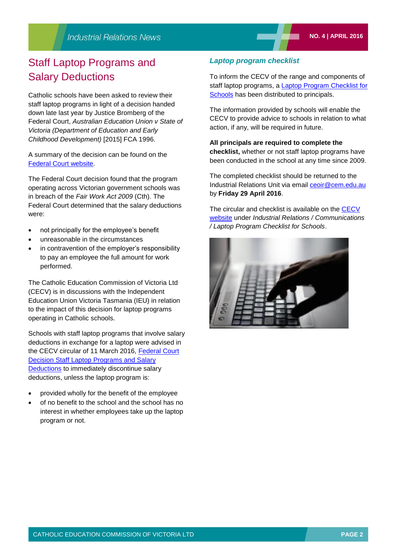## Staff Laptop Programs and Salary Deductions

Catholic schools have been asked to review their staff laptop programs in light of a decision handed down late last year by Justice Bromberg of the Federal Court, *Australian Education Union v State of Victoria (Department of Education and Early Childhood Development)* [2015] FCA 1996.

A summary of the decision can be found on the [Federal Court website.](http://www.judgments.fedcourt.gov.au/judgments/Judgments/fca/single/2015/2015fca1196/summary/2015fca1196-summary)

The Federal Court decision found that the program operating across Victorian government schools was in breach of the *Fair Work Act 2009* (Cth). The Federal Court determined that the salary deductions were:

- not principally for the employee's benefit
- unreasonable in the circumstances
- in contravention of the employer's responsibility to pay an employee the full amount for work performed.

The Catholic Education Commission of Victoria Ltd (CECV) is in discussions with the Independent Education Union Victoria Tasmania (IEU) in relation to the impact of this decision for laptop programs operating in Catholic schools.

Schools with staff laptop programs that involve salary deductions in exchange for a laptop were advised in the CECV circular of 11 March 2016, [Federal Court](http://www.cecv.catholic.edu.au/vcsa/communications/CECV_Federal_Court_Decision_Staff_Laptop_Programs_and_Salary_Deductions.pdf)  [Decision Staff Laptop Programs and Salary](http://www.cecv.catholic.edu.au/vcsa/communications/CECV_Federal_Court_Decision_Staff_Laptop_Programs_and_Salary_Deductions.pdf)  [Deductions](http://www.cecv.catholic.edu.au/vcsa/communications/CECV_Federal_Court_Decision_Staff_Laptop_Programs_and_Salary_Deductions.pdf) to immediately discontinue salary deductions, unless the laptop program is:

- provided wholly for the benefit of the employee
- of no benefit to the school and the school has no interest in whether employees take up the laptop program or not.

#### *Laptop program checklist*

To inform the CECV of the range and components of staff laptop programs, a [Laptop Program Checklist for](http://www.cecv.catholic.edu.au/vcsa/communications/Laptop_Program_Checklist_for_schools_4_April_2016.pdf)  [Schools](http://www.cecv.catholic.edu.au/vcsa/communications/Laptop_Program_Checklist_for_schools_4_April_2016.pdf) has been distributed to principals.

The information provided by schools will enable the CECV to provide advice to schools in relation to what action, if any, will be required in future.

#### **All principals are required to complete the**

**checklist,** whether or not staff laptop programs have been conducted in the school at any time since 2009.

The completed checklist should be returned to the Industrial Relations Unit via email<ceoir@cem.edu.au> by **Friday 29 April 2016**.

The circular and checklist is available on the CECV [website](http://www.cecv.catholic.edu.au/default.htm) under *Industrial Relations / Communications / Laptop Program Checklist for Schools*.

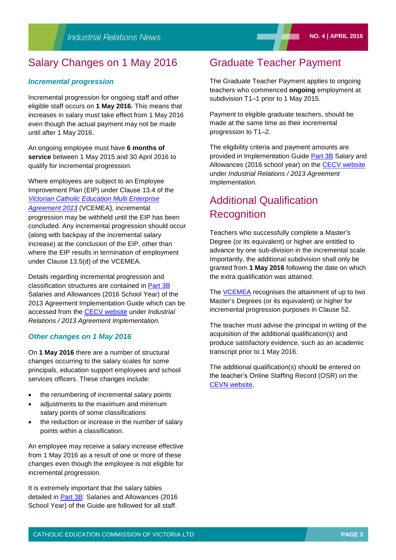## Salary Changes on 1 May 2016

#### *Incremental progression*

Incremental progression for ongoing staff and other eligible staff occurs on **1 May 2016**. This means that increases in salary must take effect from 1 May 2016 even though the actual payment may not be made until after 1 May 2016.

An ongoing employee must have **6 months of service** between 1 May 2015 and 30 April 2016 to qualify for incremental progression.

Where employees are subject to an Employee Improvement Plan (EIP) under Clause 13.4 of the *[Victorian Catholic Education Multi Enterprise](http://www.cecv.catholic.edu.au/vcsa/Agreement_2013/VCEMEA_2013.pdf)  [Agreement 2013](http://www.cecv.catholic.edu.au/vcsa/Agreement_2013/VCEMEA_2013.pdf)* (VCEMEA), incremental progression may be withheld until the EIP has been concluded. Any incremental progression should occur (along with backpay of the incremental salary increase) at the conclusion of the EIP, other than where the EIP results in termination of employment under Clause 13.5(d) of the VCEMEA.

Details regarding incremental progression and classification structures are contained in [Part 3B](http://www.cecv.catholic.edu.au/vcsa/Implementation_Guidelines/Salary_Implementation/Part_3_B.pdf) Salaries and Allowances (2016 School Year) of the 2013 Agreement Implementation Guide which can be accessed from the [CECV website](http://www.cecv.catholic.edu.au/default.htm) under *Industrial Relations / 2013 Agreement Implementation.*

#### *Other changes on 1 May 2016*

On **1 May 2016** there are a number of structural changes occurring to the salary scales for some principals, education support employees and school services officers. These changes include:

- the renumbering of incremental salary points
- adjustments to the maximum and minimum salary points of some classifications
- the reduction or increase in the number of salary points within a classification.

An employee may receive a salary increase effective from 1 May 2016 as a result of one or more of these changes even though the employee is not eligible for incremental progression.

It is extremely important that the salary tables detailed in [Part 3B:](http://www.cecv.catholic.edu.au/vcsa/Implementation_Guidelines/Salary_Implementation/Part_3_B.pdf) Salaries and Allowances (2016 School Year) of the Guide are followed for all staff.

## Graduate Teacher Payment

The Graduate Teacher Payment applies to ongoing teachers who commenced **ongoing** employment at subdivision T1–1 prior to 1 May 2015.

Payment to eligible graduate teachers, should be made at the same time as their incremental progression to T1–2.

The eligibility criteria and payment amounts are provided in Implementation Guide [Part 3B](http://www.cecv.catholic.edu.au/vcsa/Implementation_Guidelines/Salary_Implementation/Part_3_B.pdf) Salary and Allowances (2016 school year) on the [CECV website](http://www.cecv.catholic.edu.au/default.htm) under *Industrial Relations / 2013 Agreement Implementation.*

## Additional Qualification **Recognition**

Teachers who successfully complete a Master's Degree (or its equivalent) or higher are entitled to advance by one sub-division in the incremental scale. Importantly, the additional subdivision shall only be granted from **1 May 2016** following the date on which the extra qualification was attained.

The **VCEMEA** recognises the attainment of up to two Master's Degrees (or its equivalent) or higher for incremental progression purposes in Clause 52.

The teacher must advise the principal in writing of the acquisition of the additional qualification(s) and produce satisfactory evidence, such as an academic transcript prior to 1 May 2016.

The additional qualification(s) should be entered on the teacher's Online Staffing Record (OSR) on the [CEVN website.](http://cevn.cecv.catholic.edu.au/)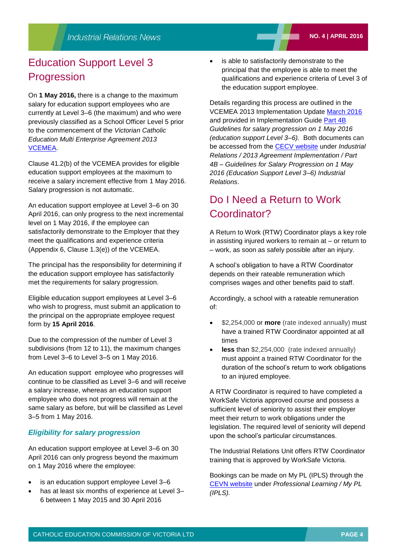## Education Support Level 3 Progression

On **1 May 2016,** there is a change to the maximum salary for education support employees who are currently at Level 3–6 (the maximum) and who were previously classified as a School Officer Level 5 prior to the commencement of the *Victorian Catholic Education Multi Enterprise Agreement 2013* [VCEMEA.](http://www.cecv.catholic.edu.au/vcsa/Agreement_2013/VCEMEA_2013.pdf)

Clause 41.2(b) of the VCEMEA provides for eligible education support employees at the maximum to receive a salary increment effective from 1 May 2016. Salary progression is not automatic.

An education support employee at Level 3–6 on 30 April 2016, can only progress to the next incremental level on 1 May 2016, if the employee can satisfactorily demonstrate to the Employer that they meet the qualifications and experience criteria (Appendix 6, Clause 1.3(e)) of the [VCEMEA.](http://web.cecv.catholic.edu.au/vcsa/Agreement_2013/VCEMEA_2013.pdf)

The principal has the responsibility for determining if the education support employee has satisfactorily met the requirements for salary progression.

Eligible education support employees at Level 3–6 who wish to progress, must submit an application to the principal on the appropriate employee request form by **15 April 2016**.

Due to the compression of the number of Level 3 subdivisions (from 12 to 11), the maximum changes from Level 3–6 to Level 3–5 on 1 May 2016.

An education support employee who progresses will continue to be classified as Level 3–6 and will receive a salary increase, whereas an education support employee who does not progress will remain at the same salary as before, but will be classified as Level 3–5 from 1 May 2016.

### *Eligibility for salary progression*

An education support employee at Level 3–6 on 30 April 2016 can only progress beyond the maximum on 1 May 2016 where the employee:

- is an education support employee Level 3-6
- has at least six months of experience at Level 3– 6 between 1 May 2015 and 30 April 2016

 is able to satisfactorily demonstrate to the principal that the employee is able to meet the qualifications and experience criteria of Level 3 of the education support employee.

Details regarding this process are outlined in the VCEMEA 2013 Implementation Update [March 2016](http://www.cecv.catholic.edu.au/vcsa/Implementation_Guidelines/Implementation%20Updates/Implementation_Update_March_2016.pdf) and provided in Implementation Guide [Part 4B](http://www.cecv.catholic.edu.au/vcsa/Implementation_Guidelines/ES_Progression_2016/Part_4B.pdf) *Guidelines for salary progression on 1 May 2016 (education support Level 3–6).* Both documents can be accessed from the [CECV website](http://www.cecv.catholic.edu.au/default.htm) under *Industrial Relations / 2013 Agreement Implementation / Part 4B – Guidelines for Salary Progression on 1 May 2016 (Education Support Level 3–6) Industrial Relations*.

## Do I Need a Return to Work Coordinator?

A Return to Work (RTW) Coordinator plays a key role in assisting injured workers to remain at – or return to – work, as soon as safely possible after an injury.

A school's obligation to have a RTW Coordinator depends on their rateable remuneration which comprises wages and other benefits paid to staff.

Accordingly, a school with a rateable remuneration of:

- **\$2,254,000 or more** (rate indexed annually) must have a trained RTW Coordinator appointed at all times
- **less** than \$2,254,000 (rate indexed annually) must appoint a trained RTW Coordinator for the duration of the school's return to work obligations to an injured employee.

A RTW Coordinator is required to have completed a WorkSafe Victoria approved course and possess a sufficient level of seniority to assist their employer meet their return to work obligations under the legislation. The required level of seniority will depend upon the school's particular circumstances.

The Industrial Relations Unit offers RTW Coordinator training that is approved by WorkSafe Victoria.

Bookings can be made on My PL (IPLS) through the [CEVN website](http://cevn.cecv.catholic.edu.au/cevnlogin.aspx) under *Professional Learning / My PL (IPLS).*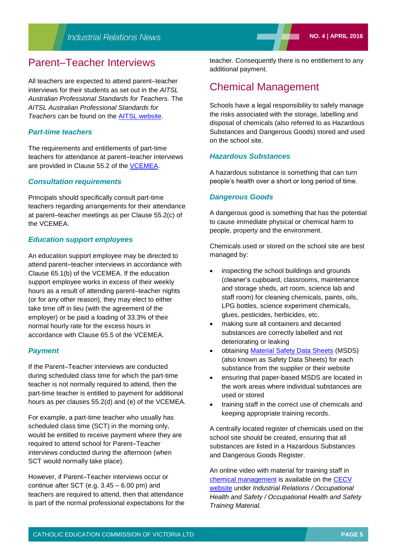## Parent–Teacher Interviews

All teachers are expected to attend parent–teacher interviews for their students as set out in the *AITSL Australian Professional Standards for Teachers.* The *AITSL Australian Professional Standards for Teachers* can be found on the AITSL [website.](http://www.aitsl.edu.au/)

#### *Part-time teachers*

The requirements and entitlements of part-time teachers for attendance at parent–teacher interviews are provided in Clause 55.2 of the [VCEMEA.](http://www.cecv.catholic.edu.au/vcsa/Agreement_2013/VCEMEA_2013.pdf)

#### *Consultation requirements*

Principals should specifically consult part-time teachers regarding arrangements for their attendance at parent–teacher meetings as per Clause 55.2(c) of the VCEMEA.

#### *Education support employees*

An education support employee may be directed to attend parent–teacher interviews in accordance with Clause 65.1(b) of the VCEMEA. If the education support employee works in excess of their weekly hours as a result of attending parent–teacher nights (or for any other reason), they may elect to either take time off in lieu (with the agreement of the employer) or be paid a loading of 33.3% of their normal hourly rate for the excess hours in accordance with Clause 65.5 of the VCEMEA.

#### *Payment*

If the Parent–Teacher interviews are conducted during scheduled class time for which the part-time teacher is not normally required to attend, then the part-time teacher is entitled to payment for additional hours as per clauses 55.2(d) and (e) of the VCEMEA.

For example, a part-time teacher who usually has scheduled class time (SCT) in the morning only, would be entitled to receive payment where they are required to attend school for Parent–Teacher interviews conducted during the afternoon (when SCT would normally take place).

However, if Parent–Teacher interviews occur or continue after SCT (e.g. 3.45 – 6.00 pm) and teachers are required to attend, then that attendance is part of the normal professional expectations for the teacher. Consequently there is no entitlement to any additional payment.

## Chemical Management

Schools have a legal responsibility to safely manage the risks associated with the storage, labelling and disposal of chemicals (also referred to as Hazardous Substances and Dangerous Goods) stored and used on the school site.

### *Hazardous Substances*

A hazardous substance is something that can turn people's health over a short or long period of time.

#### *Dangerous Goods*

A dangerous good is something that has the potential to cause immediate physical or chemical harm to people, property and the environment.

Chemicals used or stored on the school site are best managed by:

- inspecting the school buildings and grounds (cleaner's cupboard, classrooms, maintenance and storage sheds, art room, science lab and staff room) for cleaning chemicals, paints, oils, LPG bottles, science experiment chemicals, glues, pesticides, herbicides, etc.
- making sure all containers and decanted substances are correctly labelled and not deteriorating or leaking
- obtaining [Material Safety Data Sheets](http://www.worksafe.vic.gov.au/safety-and-prevention/health-and-safety-topics/material-safety-data-sheets) (MSDS) (also known as Safety Data Sheets) for each substance from the supplier or their website
- ensuring that paper-based MSDS are located in the work areas where individual substances are used or stored
- training staff in the correct use of chemicals and keeping appropriate training records.

A centrally located register of chemicals used on the school site should be created, ensuring that all substances are listed in a [Hazardous Substances](http://www.cecv.catholic.edu.au/vcsa/ohands/guidelines/checklists/hazardous_substances_dangerous_goods_register.doc)  [and Dangerous Goods Register.](http://www.cecv.catholic.edu.au/vcsa/ohands/guidelines/checklists/hazardous_substances_dangerous_goods_register.doc)

An online video with material for training staff in [chemical management](http://www.cecv.catholic.edu.au/vcsa/ohands/ohs_in_schools.html) is available on the [CECV](http://www.cecv.catholic.edu.au/default.htm)  [website](http://www.cecv.catholic.edu.au/default.htm) under *Industrial Relations / Occupational Health and Safety / Occupational Health and Safety Training Material.*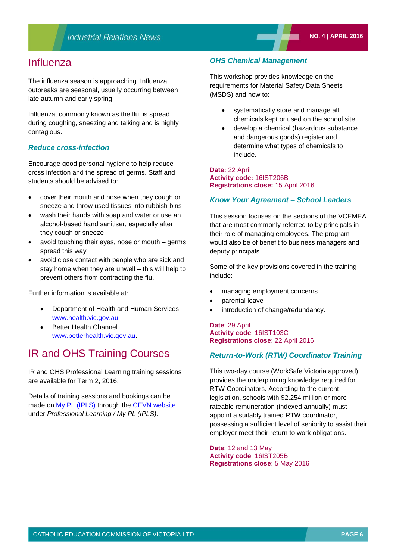## Influenza

The influenza season is approaching. Influenza outbreaks are seasonal, usually occurring between late autumn and early spring.

Influenza, commonly known as the flu, is spread during coughing, sneezing and talking and is highly contagious.

#### *Reduce cross-infection*

Encourage good personal hygiene to help reduce cross infection and the spread of germs. Staff and students should be advised to:

- cover their mouth and nose when they cough or sneeze and throw used tissues into rubbish bins
- wash their hands with soap and water or use an alcohol-based hand sanitiser, especially after they cough or sneeze
- avoid touching their eyes, nose or mouth germs spread this way
- avoid close contact with people who are sick and stay home when they are unwell – this will help to prevent others from contracting the flu.

Further information is available at:

- Department of Health and Human Services [www.health.vic.gov.au](http://www.health.vic.gov.au/)
- Better Health Channel [www.betterhealth.vic.gov.au.](http://www.betterhealth.vic.gov.au/)

## IR and OHS Training Courses

IR and OHS Professional Learning training sessions are available for Term 2, 2016.

Details of training sessions and bookings can be made on [My PL \(IPLS\)](http://cevn.cecv.catholic.edu.au/ProfessionalLearning.aspx?id=7160) through the [CEVN website](http://www.cecv.catholic.edu.au/vcsa/ohands/ohs_in_schools.html) under *Professional Learning / My PL (IPLS)*.

#### *OHS Chemical Management*

This workshop provides knowledge on the requirements for Material Safety Data Sheets (MSDS) and how to:

- systematically store and manage all chemicals kept or used on the school site
- develop a chemical (hazardous substance and dangerous goods) register and determine what types of chemicals to include.

#### **Date:** 22 April **Activity code:** 16IST206B **Registrations close:** 15 April 2016

#### *Know Your Agreement – School Leaders*

This session focuses on the sections of the VCEMEA that are most commonly referred to by principals in their role of managing employees. The program would also be of benefit to business managers and deputy principals.

Some of the key provisions covered in the training include:

- managing employment concerns
- parental leave
- introduction of change/redundancy.

**Date**: 29 April **Activity code**: 16IST103C **Registrations close**: 22 April 2016

#### *Return-to-Work (RTW) Coordinator Training*

This two-day course (WorkSafe Victoria approved) provides the underpinning knowledge required for RTW Coordinators. According to the current legislation, schools with \$2.254 million or more rateable remuneration (indexed annually) must appoint a suitably trained RTW coordinator, possessing a sufficient level of seniority to assist their employer meet their return to work obligations.

**Date**: 12 and 13 May **Activity code**: 16IST205B **Registrations close**: 5 May 2016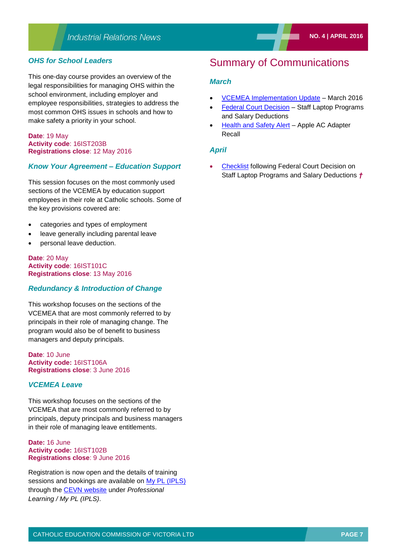#### *OHS for School Leaders*

This one-day course provides an overview of the legal responsibilities for managing OHS within the school environment, including employer and employee responsibilities, strategies to address the most common OHS issues in schools and how to make safety a priority in your school.

#### **Date**: 19 May **Activity code**: 16IST203B **Registrations close**: 12 May 2016

#### *Know Your Agreement – Education Support*

This session focuses on the most commonly used sections of the VCEMEA by education support employees in their role at Catholic schools. Some of the key provisions covered are:

- categories and types of employment
- leave generally including parental leave
- personal leave deduction.

#### **Date**: 20 May **Activity code**: 16IST101C **Registrations close**: 13 May 2016

#### *Redundancy & Introduction of Change*

This workshop focuses on the sections of the VCEMEA that are most commonly referred to by principals in their role of managing change. The program would also be of benefit to business managers and deputy principals.

**Date**: 10 June **Activity code:** 16IST106A **Registrations close**: 3 June 2016

#### *VCEMEA Leave*

This workshop focuses on the sections of the VCEMEA that are most commonly referred to by principals, deputy principals and business managers in their role of managing leave entitlements.

#### **Date:** 16 June **Activity code:** 16IST102B **Registrations close**: 9 June 2016

Registration is now open and the details of training sessions and bookings are available on [My PL \(IPLS\)](http://cevn.cecv.catholic.edu.au/ProfessionalLearning.aspx?id=7160) through the [CEVN website](http://cevn.cecv.catholic.edu.au/cevnlogin.aspx) under *Professional Learning / My PL (IPLS)*.

## Summary of Communications

#### *March*

- VCEMEA [Implementation Update](http://www.cecv.catholic.edu.au/vcsa/communications/CECV_VCEMEA_Implementation_Update_March_2016.pdf) March 2016
- [Federal Court Decision](http://www.cecv.catholic.edu.au/vcsa/communications/CECV_Federal_Court_Decision_Staff_Laptop_Programs_and_Salary_Deductions.pdf) Staff Laptop Programs and Salary Deductions
- [Health and Safety Alert](http://www.cecv.catholic.edu.au/vcsa/communications/Health_and_Safety_Alert_Apple_AC_Adapter_Recall.pdf) Apple AC Adapter Recall

#### *April*

 [Checklist](http://www.cecv.catholic.edu.au/vcsa/communications/Staff_Laptop_Programs_and_Salary_Deductions.pdf) following Federal Court Decision on Staff Laptop Programs and Salary Deductions *†*